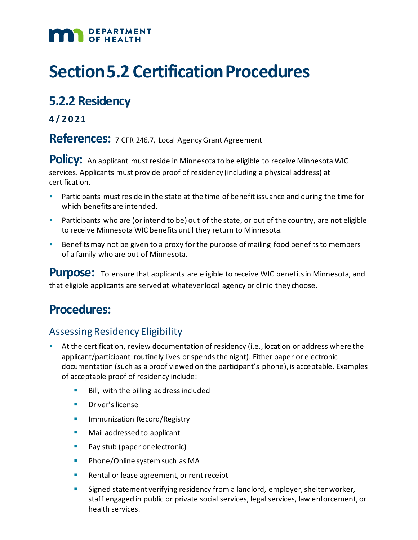## DEPARTMENT

# **Section 5.2 Certification Procedures**

## **5.2.2 Residency**

**4 /2021**

**References:** 7 CFR 246.7, Local Agency Grant Agreement

**Policy:** An applicant must reside in Minnesota to be eligible to receive Minnesota WIC services. Applicants must provide proof of residency (including a physical address) at certification.

- Participants must reside in the state at the time of benefit issuance and during the time for which benefits are intended.
- **Participants who are (or intend to be) out of the state, or out of the country, are not eligible** to receive Minnesota WIC benefits until they return to Minnesota.
- Benefits may not be given to a proxy for the purpose of mailing food benefits to members of a family who are out of Minnesota.

**Purpose:** To ensure that applicants are eligible to receive WIC benefits in Minnesota, and that eligible applicants are served at whatever local agency or clinic they choose.

## **Procedures:**

### Assessing Residency Eligibility

- At the certification, review documentation of residency (i.e., location or address where the applicant/participant routinely lives or spends the night). Either paper or electronic documentation (such as a proof viewed on the participant's phone), is acceptable. Examples of acceptable proof of residency include:
	- Bill, with the billing address included
	- **Driver's license**
	- **IMMUNIZATION Record/Registry**
	- **Mail addressed to applicant**
	- **Pay stub (paper or electronic)**
	- **Phone/Online system such as MA**
	- **Rental or lease agreement, or rent receipt**
	- Signed statement verifying residency from a landlord, employer, shelter worker, staff engaged in public or private social services, legal services, law enforcement, or health services.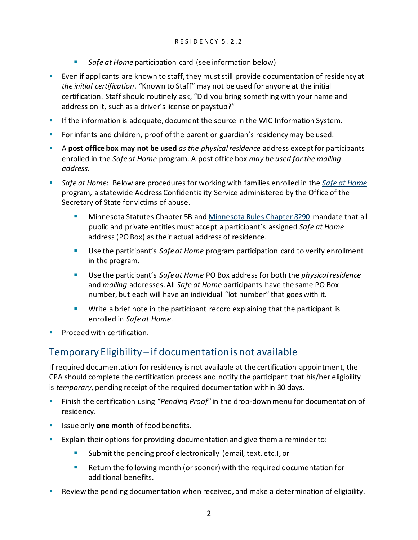- **Safe at Home participation card (see information below)**
- Even if applicants are known to staff, they must still provide documentation of residency at *the initial certification*. "Known to Staff" may not be used for anyone at the initial certification. Staff should routinely ask, "Did you bring something with your name and address on it, such as a driver's license or paystub?"
- **If the information is adequate, document the source in the WIC Information System.**
- **For infants and children, proof of the parent or guardian's residency may be used.**
- A **post office box may not be used** *as the physical residence* address except for participants enrolled in the *Safe at Home* program. A post office box *may be used for the mailing address.*
- *Safe at Home*: Below are procedures for working with families enrolled in the *[Safe at Home](http://www.sos.state.mn.us/safe-at-home/?searchTerm=safe%20at%20home)* program, a statewide Address Confidentiality Service administered by the Office of the Secretary of State for victims of abuse.
	- **Minnesota Statutes Chapter 5B an[d Minnesota Rules Chapter 8290](https://www.revisor.mn.gov/rules/?id=8290) mandate that all** public and private entities must accept a participant's assigned *Safe at Home* address (PO Box) as their actual address of residence.
	- Use the participant's *Safe at Home* program participation card to verify enrollment in the program.
	- Use the participant's *Safe at Home* PO Box address for both the *physical residence* and *mailing* addresses. All *Safe at Home* participants have the same PO Box number, but each will have an individual "lot number" that goes with it.
	- **Write a brief note in the participant record explaining that the participant is** enrolled in *Safe at Home*.
- Proceed with certification.

### Temporary Eligibility – if documentation is not available

If required documentation for residency is not available at the certification appointment, the CPA should complete the certification process and notify the participant that his/her eligibility is *temporary,* pending receipt of the required documentation within 30 days.

- Finish the certification using "*Pending Proof*" in the drop-down menu for documentation of residency.
- **If** Issue only **one month** of food benefits.
- Explain their options for providing documentation and give them a reminder to:
	- Submit the pending proof electronically (email, text, etc.), or
	- **Return the following month (or sooner) with the required documentation for** additional benefits.
- Review the pending documentation when received, and make a determination of eligibility.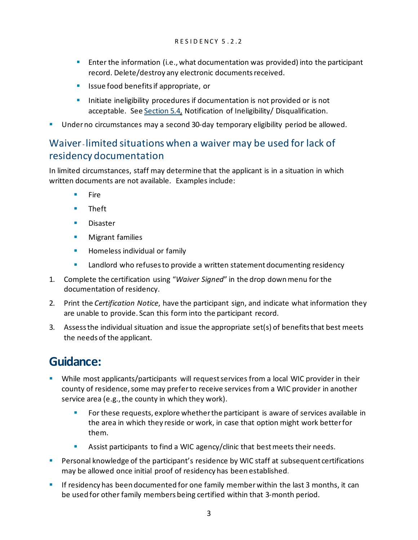- **Enter the information (i.e., what documentation was provided) into the participant** record. Delete/destroy any electronic documents received.
- Issue food benefits if appropriate, or
- **Initiate ineligibility procedures if documentation is not provided or is not** acceptable. See Section 5.4, [Notification of Ineligibility/ Disqualification.](https://www.health.state.mn.us/docs/people/wic/localagency/program/mom/chsctns/ch5/sctn5_4.pdf)
- Under no circumstances may a second 30-day temporary eligibility period be allowed.

#### Waiver- limited situations when a waiver may be used for lack of residency documentation

In limited circumstances, staff may determine that the applicant is in a situation in which written documents are not available. Examples include:

- Fire
- **Theft**
- **Disaster**
- **Migrant families**
- **Homeless individual or family**
- **EXECT** Landlord who refuses to provide a written statement documenting residency
- 1. Complete the certification using "*Waiver Signed*" in the drop down menu for the documentation of residency.
- 2. Print the *Certification Notice*, have the participant sign, and indicate what information they are unable to provide. Scan this form into the participant record.
- 3. Assess the individual situation and issue the appropriate set(s) of benefits that best meets the needs of the applicant.

### **Guidance:**

- While most applicants/participants will request services from a local WIC provider in their county of residence, some may prefer to receive services from a WIC provider in another service area (e.g., the county in which they work).
	- For these requests, explore whether the participant is aware of services available in the area in which they reside or work, in case that option might work better for them.
	- Assist participants to find a WIC agency/clinic that best meets their needs.
- **Personal knowledge of the participant's residence by WIC staff at subsequent certifications** may be allowed once initial proof of residency has been established.
- **If residency has been documented for one family member within the last 3 months, it can** be used for other family members being certified within that 3-month period.